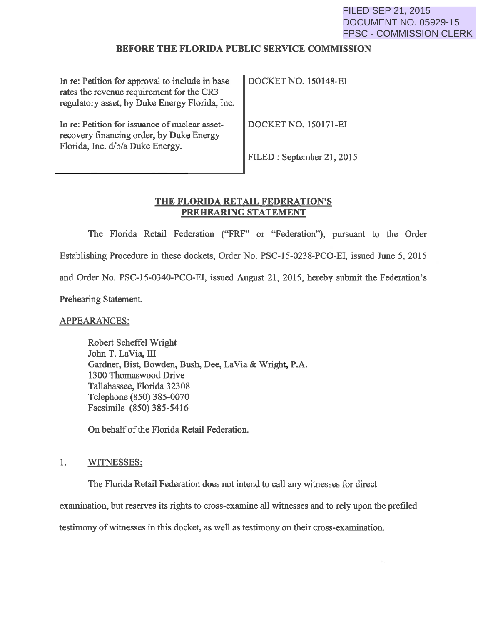#### BEFORE THE FLORIDA PUBLIC SERVICE COMMISSION

| In re: Petition for approval to include in base<br>rates the revenue requirement for the CR3<br>regulatory asset, by Duke Energy Florida, Inc. | <b>DOCKET NO. 150148-EI</b> |
|------------------------------------------------------------------------------------------------------------------------------------------------|-----------------------------|
| In re: Petition for issuance of nuclear asset-<br>recovery financing order, by Duke Energy<br>Florida, Inc. d/b/a Duke Energy.                 | DOCKET NO. 150171-EI        |
|                                                                                                                                                | FILED: September 21, 2015   |

## THE FLORIDA RETAIL FEDERATION'S PREHEARING STATEMENT

The Florida Retail Federation ("FRF" or "Federation"), pursuant to the Order Establishing Procedure in these dockets, Order No. PSC-15-0238-PCO-EI, issued June 5, 2015 and Order No. PSC-15-0340-PCO-EI, issued August 21, 2015, hereby submit the Federation's Prehearing Statement.

APPEARANCES:

Robert Scheffel Wright John T. LaVia, III Gardner, Bist, Bowden, Bush, Dee, LaVia & Wright, P.A. 1300 Thomaswood Drive Tallahassee, Florida 32308 Telephone (850) 385-0070 Facsimile (850) 385-5416

On behalf of the Florida Retail Federation.

#### 1. WITNESSES:

The Florida Retail Federation does not intend to call any witnesses for direct

examination, but reserves its rights to cross-examine all witnesses and to rely upon the prefiled

testimony of witnesses in this docket, as well as testimony on their cross-examination.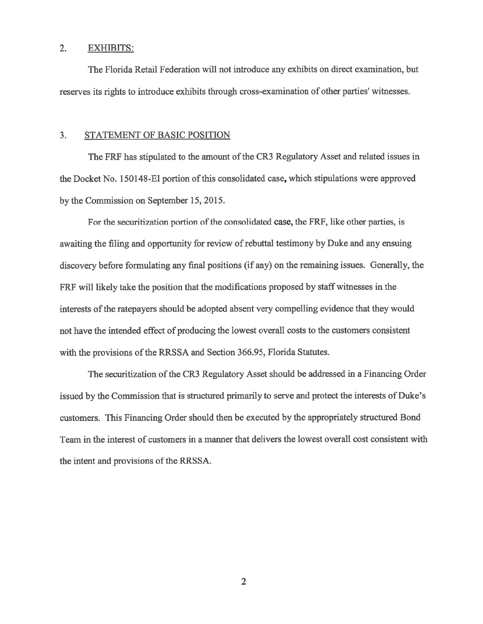### 2. EXHIBITS:

The Florida Retail Federation will not introduce any exhibits on direct examination, but reserves its rights to introduce exhibits through cross-examination of other parties' witnesses.

#### 3. STATEMENT OF BASIC POSITION

The FRF has stipulated to the amount of the CR3 Regulatory Asset and related issues in the Docket No. 150148-EI portion of this consolidated case, which stipulations were approved by the Commission on September 15, 2015.

For the securitization portion of the consolidated case, the FRF, like other parties, is awaiting the filing and opportunity for review of rebuttal testimony by Duke and any ensuing discovery before formulating any final positions (if any) on the remaining issues. Generally, the FRF will likely take the position that the modifications proposed by staff witnesses in the interests of the ratepayers should be adopted absent very compelling evidence that they would not have the intended effect of producing the lowest overall costs to the customers consistent with the provisions of the RRSSA and Section 366.95, Florida Statutes.

The securitization of the CR3 Regulatory Asset should be addressed in a Financing Order issued by the Commission that is structured primarily to serve and protect the interests of Duke's customers. This Financing Order should then be executed by the appropriately structured Bond Team in the interest of customers in a manner that delivers the lowest overall cost consistent with the intent and provisions of the RRSSA.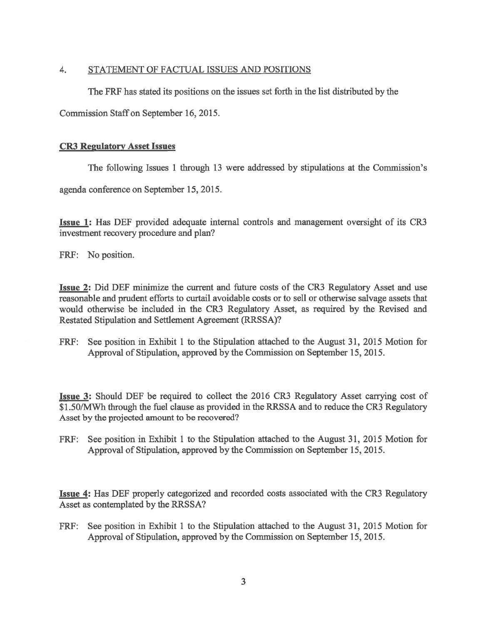### 4. STATEMENT OF FACTUAL ISSUES AND POSITIONS

The FRF has stated its positions on the issues set forth in the list distributed by the

Commission Staff on September 16,2015.

### CR3 Regulatory Asset Issues

The following Issues 1 through 13 were addressed by stipulations at the Commission's

agenda conference on September 15, 2015.

Issue 1: Has DEF provided adequate internal controls and management oversight of its CR3 investment recovery procedure and plan?

FRF: No position.

Issue 2: Did DEF minimize the current and future costs of the CR3 Regulatory Asset and use reasonable and prudent efforts to curtail avoidable costs or to sell or otherwise salvage assets that would otherwise be included in the CR3 Regulatory Asset, as required by the Revised and Restated Stipulation and Settlement Agreement (RRSSA)?

FRF: See position in Exhibit 1 to the Stipulation attached to the August 31, 2015 Motion for Approval of Stipulation, approved by the Commission on September 15,2015.

Issue 3: Should DEF be required to collect the 2016 CR3 Regulatory Asset carrying cost of \$1.50/MWh through the fuel clause as provided in the RRSSA and to reduce the CR3 Regulatory Asset by the projected amount to be recovered?

FRF: See position in Exhibit 1 to the Stipulation attached to the August 31, 2015 Motion for Approval of Stipulation, approved by the Commission on September 15, 2015.

Issue 4: Has DEF properly categorized and recorded costs associated with the CR3 Regulatory Asset as contemplated by the RRSSA?

FRF: See position in Exhibit 1 to the Stipulation attached to the August 31, 2015 Motion for Approval of Stipulation, approved by the Commission on September 15, 2015.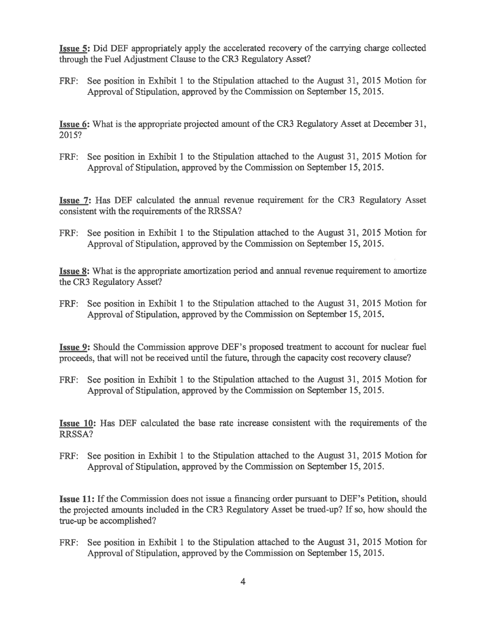Issue 5: Did DEF appropriately apply the accelerated recovery of the carrying charge collected through the Fuel Adjustment Clause to the CR3 Regulatory Asset?

FRF: See position in Exhibit 1 to the Stipulation attached to the August 31, 2015 Motion for Approval of Stipulation, approved by the Commission on September 15,2015.

Issue 6: What is the appropriate projected amount of the CR3 Regulatory Asset at December 31, 2015?

FRF: See position in Exhibit 1 to the Stipulation attached to the August 31, 2015 Motion for Approval of Stipulation, approved by the Commission on September 15, 2015.

Issue 7: Has DEF calculated the annual revenue requirement for the CR3 Regulatory Asset consistent with the requirements of the RRSSA?

FRF: See position in Exhibit 1 to the Stipulation attached to the August 31, 2015 Motion for Approval of Stipulation, approved by the Commission on September 15, 2015.

Issue 8: What is the appropriate amortization period and annual revenue requirement to amortize the CR3 Regulatory Asset?

FRF: See position in Exhibit 1 to the Stipulation attached to the August 31, 2015 Motion for Approval of Stipulation, approved by the Commission on September 15,2015.

Issue 9: Should the Commission approve DEF's proposed treatment to account for nuclear fuel proceeds, that will not be received until the future, through the capacity cost recovery clause?

FRF: See position in Exhibit 1 to the Stipulation attached to the August 31, 2015 Motion for Approval of Stipulation, approved by the Commission on September 15, 2015.

Issue 10: Has DEF calculated the base rate increase consistent with the requirements of the RRSSA?

FRF: See position in Exhibit 1 to the Stipulation attached to the August 31, 2015 Motion for Approval of Stipulation, approved by the Commission on September 15, 2015.

Issue 11: If the Commission does not issue a financing order pursuant to DEF's Petition, should the projected amounts included in the CR3 Regulatory Asset be trued-up? If so, how should the true-up be accomplished?

FRF: See position in Exhibit 1 to the Stipulation attached to the August 31, 2015 Motion for Approval of Stipulation, approved by the Commission on September 15,2015.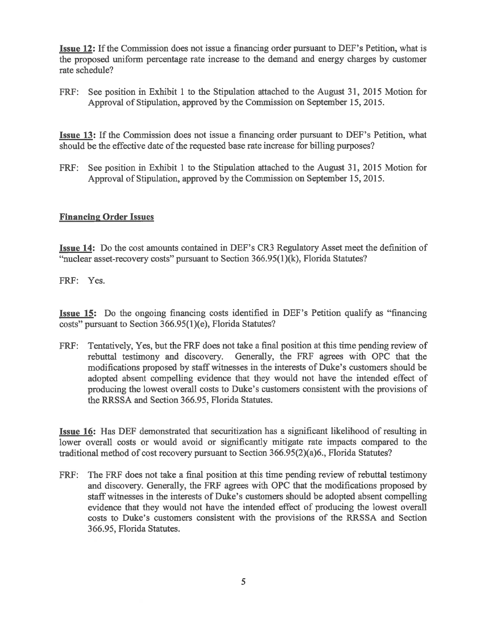Issue 12: If the Commission does not issue a financing order pursuant to DEF's Petition, what is the proposed uniform percentage rate increase to the demand and energy charges by customer rate schedule?

FRF: See position in Exhibit 1 to the Stipulation attached to the August 31, 2015 Motion for Approval of Stipulation, approved by the Commission on September 15, 2015.

Issue 13: If the Commission does not issue a financing order pursuant to DEF's Petition, what should be the effective date of the requested base rate increase for billing purposes?

FRF: See position in Exhibit 1 to the Stipulation attached to the August 31, 2015 Motion for Approval of Stipulation, approved by the Commission on September 15, 2015.

### Financing Order Issues

Issue 14: Do the cost amounts contained in DEF's CR3 Regulatory Asset meet the definition of "nuclear asset-recovery costs" pursuant to Section 366.95(1)(k), Florida Statutes?

FRF: Yes.

Issue 15: Do the ongoing financing costs identified in DEF's Petition qualify as "financing costs" pursuant to Section 366.95(1)(e), Florida Statutes?

FRF: Tentatively, Yes, but the FRF does not take a final position at this time pending review of rebuttal testimony and discovery. Generally, the FRF agrees with OPC that the modifications proposed by staff witnesses in the interests of Duke's customers should be adopted absent compelling evidence that they would not have the intended effect of producing the lowest overall costs to Duke's customers consistent with the provisions of the RRSSA and Section 366.95, Florida Statutes.

Issue 16: Has DEF demonstrated that securitization has a significant likelihood of resulting in lower overall costs or would avoid or significantly mitigate rate impacts compared to the traditional method of cost recovery pursuant to Section 366.95(2)(a)6., Florida Statutes?

FRF: The FRF does not take a final position at this time pending review of rebuttal testimony and discovery. Generally, the FRF agrees with OPC that the modifications proposed by staff witnesses in the interests of Duke's customers should be adopted absent compelling evidence that they would not have the intended effect of producing the lowest overall costs to Duke's customers consistent with the provisions of the RRSSA and Section 366.95, Florida Statutes.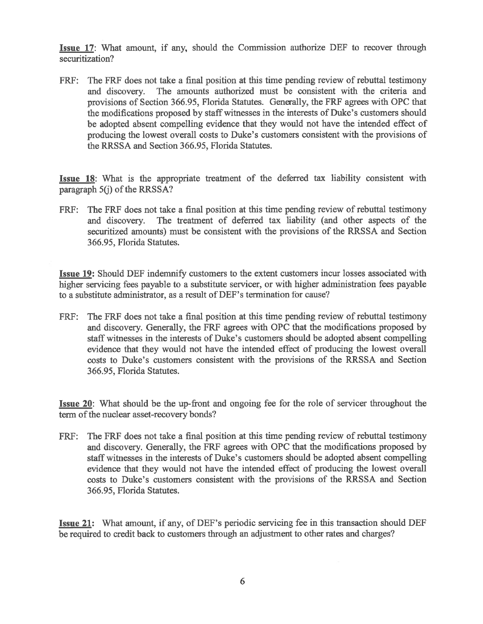Issue 17: What amount, if any, should the Commission authorize DEF to recover through securitization?

FRF: The FRF does not take a final position at this time pending review of rebuttal testimony and discovery. The amounts authorized must be consistent with the criteria and provisions of Section 366.95, Florida Statutes. Generally, the FRF agrees with OPC that the modifications proposed by staff witnesses in the interests of Duke's customers should be adopted absent compelling evidence that they would not have the intended effect of producing the lowest overall costs to Duke's customers consistent with the provisions of the RRSSA and Section 366.95, Florida Statutes.

Issue 18: What is the appropriate treatment of the deferred tax liability consistent with paragraph  $5(i)$  of the RRSSA?

FRF: The FRF does not take a final position at this time pending review of rebuttal testimony and discovery. The treatment of deferred tax liability (and other aspects of the securitized amounts) must be consistent with the provisions of the RRSSA and Section 366.95, Florida Statutes.

Issue 19: Should DEF indemnify customers to the extent customers incur losses associated with higher servicing fees payable to a substitute servicer, or with higher administration fees payable to a substitute administrator, as a result of DEF's termination for cause?

FRF: The FRF does not take a final position at this time pending review of rebuttal testimony and discovery. Generally, the FRF agrees with OPC that the modifications proposed by staff witnesses in the interests of Duke's customers should be adopted absent compelling evidence that they would not have the intended effect of producing the lowest overall costs to Duke's customers consistent with the provisions of the RRSSA and Section 366.95, Florida Statutes.

Issue 20: What should be the up-front and ongoing fee for the role of servicer throughout the term of the nuclear asset-recovery bonds?

FRF: The FRF does not take a final position at this time pending review of rebuttal testimony and discovery. Generally, the FRF agrees with OPC that the modifications proposed by staff witnesses in the interests of Duke's customers should be adopted absent compelling evidence that they would not have the intended effect of producing the lowest overall costs to Duke's customers consistent with the provisions of the RRSSA and Section 366.95, Florida Statutes.

Issue 21: What amount, if any, of DEF's periodic servicing fee in this transaction should DEF be required to credit back to customers through an adjustment to other rates and charges?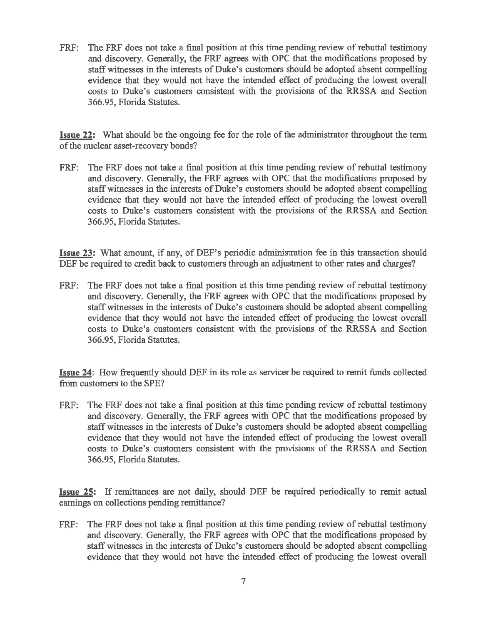FRF: The FRF does not take a final position at this time pending review of rebuttal testimony and discovery. Generally, the FRF agrees with OPC that the modifications proposed by staff witnesses in the interests of Duke's customers should be adopted absent compelling evidence that they would not have the intended effect of producing the lowest overall costs to Duke's customers consistent with the provisions of the RRSSA and Section 366.95, Florida Statutes.

Issue 22: What should be the ongoing fee for the role of the administrator throughout the term of the nuclear asset-recovery bonds?

FRF: The FRF does not take a final position at this time pending review of rebuttal testimony and discovery. Generally, the FRF agrees with OPC that the modifications proposed by staff witnesses in the interests of Duke's customers should be adopted absent compelling evidence that they would not have the intended effect of producing the lowest overall costs to Duke's customers consistent with the provisions of the RRSSA and Section 366.95, Florida Statutes.

Issue 23: What amount, if any, of DEF's periodic administration fee in this transaction should DEF be required to credit back to customers through an adjustment to other rates and charges?

FRF: The FRF does not take a final position at this time pending review of rebuttal testimony and discovery. Generally, the FRF agrees with OPC that the modifications proposed by staff witnesses in the interests of Duke's customers should be adopted absent compelling evidence that they would not have the intended effect of producing the lowest overall costs to Duke's customers consistent with the provisions of the RRSSA and Section 366.95, Florida Statutes.

Issue 24: How frequently should DEF in its role as servicer be required to remit funds collected from customers to the SPE?

FRF: The FRF does not take a final position at this time pending review of rebuttal testimony and discovery. Generally, the FRF agrees with OPC that the modifications proposed by staff witnesses in the interests of Duke's customers should be adopted absent compelling evidence that they would not have the intended effect of producing the lowest overall costs to Duke's customers consistent with the provisions of the RRSSA and Section 366.95, Florida Statutes.

Issue 25: If remittances are not daily, should DEF be required periodically to remit actual earnings on collections pending remittance?

FRF: The FRF does not take a final position at this time pending review of rebuttal testimony and discovery. Generally, the FRF agrees with OPC that the modifications proposed by staff witnesses in the interests of Duke's customers should be adopted absent compelling evidence that they would not have the intended effect of producing the lowest overall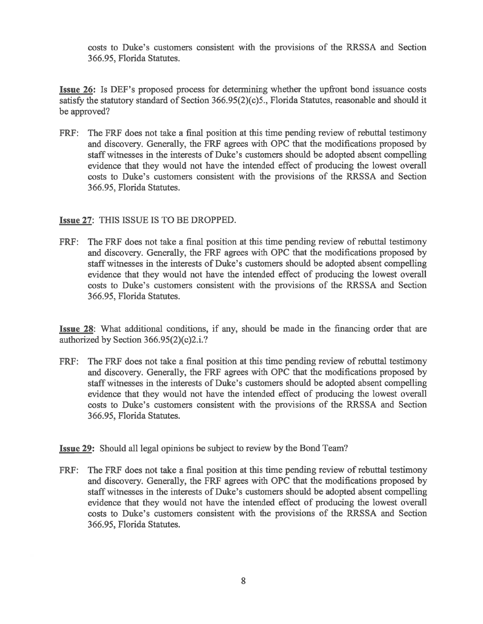costs to Duke's customers consistent with the provisions of the RRSSA and Section 366.95, Florida Statutes.

Issue 26: Is DEF's proposed process for determining whether the upfront bond issuance costs satisfy the statutory standard of Section 366.95(2)(c)5., Florida Statutes, reasonable and should it be approved?

FRF: The FRF does not take a final position at this time pending review of rebuttal testimony and discovery. Generally, the FRF agrees with OPC that the modifications proposed by staff witnesses in the interests of Duke's customers should be adopted absent compelling evidence that they would not have the intended effect of producing the lowest overall costs to Duke's customers consistent with the provisions of the RRSSA and Section 366.95, Florida Statutes.

# Issue 27: THIS ISSUE IS TO BE DROPPED.

FRF: The FRF does not take a final position at this time pending review of rebuttal testimony and discovery. Generally, the FRF agrees with OPC that the modifications proposed by staff witnesses in the interests of Duke's customers should be adopted absent compelling evidence that they would not have the intended effect of producing the lowest overall costs to Duke's customers consistent with the provisions of the RRSSA and Section 366.95, Florida Statutes.

Issue 28: What additional conditions, if any, should be made in the financing order that are authorized by Section 366.95(2)(c)2.i.?

FRF: The FRF does not take a final position at this time pending review of rebuttal testimony and discovery. Generally, the FRF agrees with OPC that the modifications proposed by staff witnesses in the interests of Duke's customers should be adopted absent compelling evidence that they would not have the intended effect of producing the lowest overall costs to Duke's customers consistent with the provisions of the RRSSA and Section 366.95, Florida Statutes.

Issue 29: Should all legal opinions be subject to review by the Bond Team?

FRF: The FRF does not take a final position at this time pending review of rebuttal testimony and discovery. Generally, the FRF agrees with OPC that the modifications proposed by staff witnesses in the interests of Duke's customers should be adopted absent compelling evidence that they would not have the intended effect of producing the lowest overall costs to Duke's customers consistent with the provisions of the RRSSA and Section 366.95, Florida Statutes.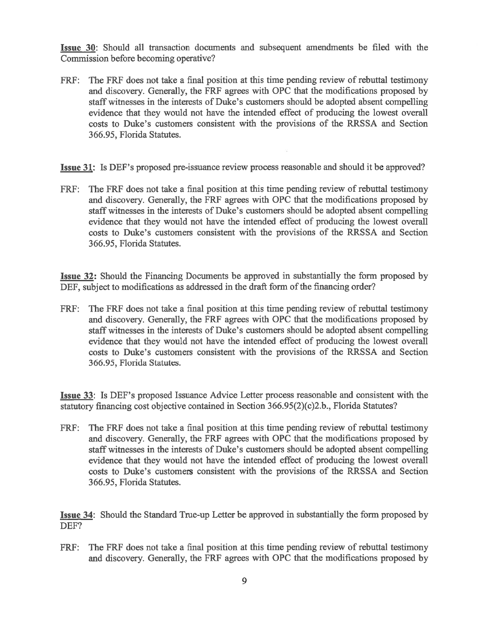Issue 30: Should all transaction documents and subsequent amendments be filed with the Commission before becoming operative?

- FRF: The FRF does not take a final position at this time pending review of rebuttal testimony and discovery. Generally, the FRF agrees with OPC that the modifications proposed by staff witnesses in the interests of Duke's customers should be adopted absent compelling evidence that they would not have the intended effect of producing the lowest overall costs to Duke's customers consistent with the provisions of the RRSSA and Section 366.95, Florida Statutes.
- Issue 31: Is DEF's proposed pre-issuance review process reasonable and should it be approved?
- FRF: The FRF does not take a final position at this time pending review of rebuttal testimony and discovery. Generally, the FRF agrees with OPC that the modifications proposed by staff witnesses in the interests of Duke's customers should be adopted absent compelling evidence that they would not have the intended effect of producing the lowest overall costs to Duke's customers consistent with the provisions of the RRSSA and Section 366.95, Florida Statutes.

Issue 32: Should the Financing Documents be approved in substantially the form proposed by DEF, subject to modifications as addressed in the draft form of the financing order?

FRF: The FRF does not take a final position at this time pending review of rebuttal testimony and discovery. Generally, the FRF agrees with OPC that the modifications proposed by staff witnesses in the interests of Duke's customers should be adopted absent compelling evidence that they would not have the intended effect of producing the lowest overall costs to Duke's customers consistent with the provisions of the RRSSA and Section 366.95, Florida Statutes.

Issue 33: Is DEF's proposed Issuance Advice Letter process reasonable and consistent with the statutory financing cost objective contained in Section 366.95(2)(c)2.b., Florida Statutes?

FRF: The FRF does not take a final position at this time pending review of rebuttal testimony and discovery. Generally, the FRF agrees with OPC that the modifications proposed by staff witnesses in the interests of Duke's customers should be adopted absent compelling evidence that they would not have the intended effect of producing the lowest overall costs to Duke's customers consistent with the provisions of the RRSSA and Section 366.95, Florida Statutes.

Issue 34: Should the Standard True-up Letter be approved in substantially the form proposed by DEF?

FRF: The FRF does not take a final position at this time pending review of rebuttal testimony and discovery. Generally, the FRF agrees with OPC that the modifications proposed by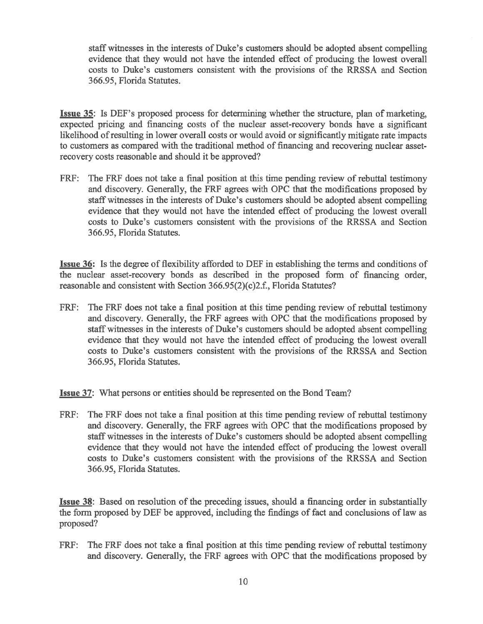staff witnesses in the interests of Duke's customers should be adopted absent compelling evidence that they would not have the intended effect of producing the lowest overall costs to Duke's customers consistent with the provisions of the RRSSA and Section 366.95, Florida Statutes.

Issue 35: Is DEF's proposed process for determining whether the structure, plan of marketing, expected pricing and financing costs of the nuclear asset-recovery bonds have a significant likelihood of resulting in lower overall costs or would avoid or significantly mitigate rate impacts to customers as compared with the traditional method of financing and recovering nuclear assetrecovery costs reasonable and should it be approved?

FRF: The FRF does not take a final position at this time pending review of rebuttal testimony and discovery. Generally, the FRF agrees with OPC that the modifications proposed by staff witnesses in the interests of Duke's customers should be adopted absent compelling evidence that they would not have the intended effect of producing the lowest overall costs to Duke's customers consistent with the provisions of the RRSSA and Section 366.95, Florida Statutes.

Issue 36: Is the degree of flexibility afforded to DEF in establishing the terms and conditions of the nuclear asset-recovery bonds as described in the proposed form of financing order, reasonable and consistent with Section 366.95(2)(c)2.f., Florida Statutes?

FRF: The FRF does not take a final position at this time pending review of rebuttal testimony and discovery. Generally, the FRF agrees with OPC that the modifications proposed by staff witnesses in the interests of Duke's customers should be adopted absent compelling evidence that they would not have the intended effect of producing the lowest overall costs to Duke's customers consistent with the provisions of the RRSSA and Section 366.95, Florida Statutes.

Issue 37: What persons or entities should be represented on the Bond Team?

FRF: The FRF does not take a final position at this time pending review of rebuttal testimony and discovery. Generally, the FRF agrees with OPC that the modifications proposed by staff witnesses in the interests of Duke's customers should be adopted absent compelling evidence that they would not have the intended effect of producing the lowest overall costs to Duke's customers consistent with the provisions of the RRSSA and Section 366.95, Florida Statutes.

Issue 38: Based on resolution of the preceding issues, should a financing order in substantially the form proposed by DEF be approved, including the findings of fact and conclusions of law as proposed?

FRF: The FRF does not take a final position at this time pending review of rebuttal testimony and discovery. Generally, the FRF agrees with OPC that the modifications proposed by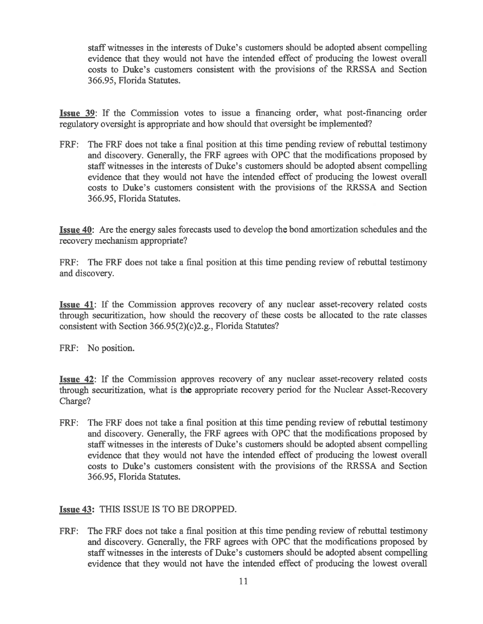staff witnesses in the interests of Duke's customers should be adopted absent compelling evidence that they would not have the intended effect of producing the lowest overall costs to Duke's customers consistent with the provisions of the RRSSA and Section 366.95, Florida Statutes.

Issue 39: If the Commission votes to issue a financing order, what post-financing order regulatory oversight is appropriate and how should that oversight be implemented?

FRF: The FRF does not take a final position at this time pending review of rebuttal testimony and discovery. Generally, the FRF agrees with OPC that the modifications proposed by staff witnesses in the interests of Duke's customers should be adopted absent compelling evidence that they would not have the intended effect of producing the lowest overall costs to Duke's customers consistent with the provisions of the RRSSA and Section 366.95, Florida Statutes.

Issue 40: Are the energy sales forecasts used to develop the bond amortization schedules and the recovery mechanism appropriate?

FRF: The FRF does not take a final position at this time pending review of rebuttal testimony and discovery.

Issue 41: If the Commission approves recovery of any nuclear asset-recovery related costs through securitization, how should the recovery of these costs be allocated to the rate classes consistent with Section 366.95(2)(c)2.g., Florida Statutes?

FRF: No position.

Issue 42: If the Commission approves recovery of any nuclear asset-recovery related costs through securitization, what is the appropriate recovery period for the Nuclear Asset-Recovery Charge?

FRF: The FRF does not take a final position at this time pending review of rebuttal testimony and discovery. Generally, the FRF agrees with OPC that the modifications proposed by staff witnesses in the interests of Duke's customers should be adopted absent compelling evidence that they would not have the intended effect of producing the lowest overall costs to Duke's customers consistent with the provisions of the RRSSA and Section 366.95, Florida Statutes.

# Issue 43: THIS ISSUE IS TO BE DROPPED.

FRF: The FRF does not take a final position at this time pending review of rebuttal testimony and discovery. Generally, the FRF agrees with OPC that the modifications proposed by staff witnesses in the interests of Duke's customers should be adopted absent compelling evidence that they would not have the intended effect of producing the lowest overall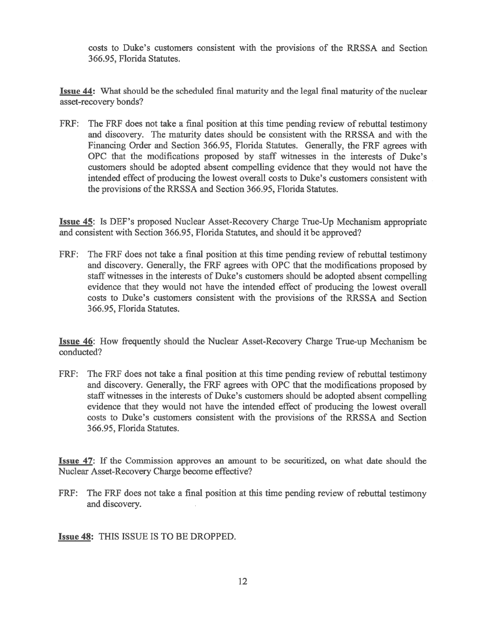costs to Duke's customers consistent with the provisions of the RRSSA and Section 366.95, Florida Statutes.

Issue 44: What should be the scheduled final maturity and the legal final maturity of the nuclear asset-recovery bonds?

FRF: The FRF does not take a final position at this time pending review of rebuttal testimony and discovery. The maturity dates should be consistent with the RRSSA and with the Financing Order and Section 366.95, Florida Statutes. Generally, the FRF agrees with OPC that the modifications proposed by staff witnesses in the interests of Duke's customers should be adopted absent compelling evidence that they would not have the intended effect of producing the lowest overall costs to Duke's customers consistent with the provisions of the RRSSA and Section 366.95, Florida Statutes.

Issue 45: Is DEF's proposed Nuclear Asset-Recovery Charge True-Up Mechanism appropriate and consistent with Section 366.95, Florida Statutes, and should it be approved?

FRF: The FRF does not take a final position at this time pending review of rebuttal testimony and discovery. Generally, the FRF agrees with OPC that the modifications proposed by staff witnesses in the interests of Duke's customers should be adopted absent compelling evidence that they would not have the intended effect of producing the lowest overall costs to Duke's customers consistent with the provisions of the RRSSA and Section 366.95, Florida Statutes.

Issue 46: How frequently should the Nuclear Asset-Recovery Charge True-up Mechanism be conducted?

FRF: The FRF does not take a final position at this time pending review of rebuttal testimony and discovery. Generally, the FRF agrees with OPC that the modifications proposed by staff witnesses in the interests of Duke's customers should be adopted absent compelling evidence that they would not have the intended effect of producing the lowest overall costs to Duke's customers consistent with the provisions of the RRSSA and Section 366.95, Florida Statutes.

Issue 47: If the Commission approves an amount to be securitized, on what date should the Nuclear Asset-Recovery Charge become effective?

FRF: The FRF does not take a final position at this time pending review of rebuttal testimony and discovery.

Issue 48: THIS ISSUE IS TO BE DROPPED.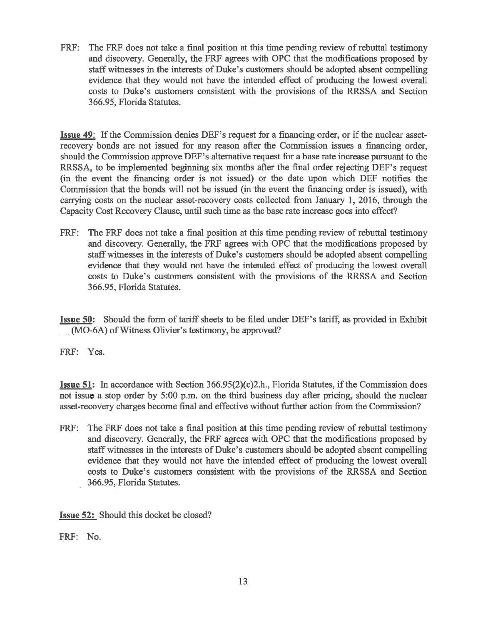FRF: The FRF does not take a final position at this time pending review of rebuttal testimony and discovery. Generally, the FRF agrees with OPC that the modifications proposed by staff witnesses in the interests of Duke's customers should be adopted absent compelling evidence that they would not have the intended effect of producing the lowest overall costs to Duke's customers consistent with the provisions of the RRSSA and Section 366.95, Florida Statutes.

Issue **49:** If the Commission denies DEF's request for a financing order, or if the nuclear assetrecovery bonds are not issued for any reason after the Commission issues a financing order, should the Commission approve DEF's alternative request for a base rate increase pursuant to the RRSSA, to be implemented beginning six months after the final order rejecting DEF's request (in the event the financing order is not issued) or the date upon which DEF notifies the Commission that the bonds will not be issued (in the event the financing order is issued), with carrying costs on the nuclear asset-recovery costs collected from January 1, 2016, through the Capacity Cost Recovery Clause, until such time as the base rate increase goes into effect?

FRF: The FRF does not take a final position at this time pending review of rebuttal testimony and discovery. Generally, the FRF agrees with OPC that the modifications proposed by staff witnesses in the interests of Duke's customers should be adopted absent compelling evidence that they would not have the intended effect of producing the lowest overall costs to Duke's customers consistent with the provisions of the RRSSA and Section 366.95, Florida Statutes.

Issue **50:** Should the form of tariff sheets to be filed under DEF's tariff, as provided in Exhibit (MO-6A) of Witness Olivier's testimony, be approved?

FRF: Yes.

Issue **51:** In accordance with Section 366.95(2)(c)2.h., Florida Statutes, if the Commission does not issue a stop order by 5:00 p.m. on the third business day after pricing, should the nuclear asset-recovery charges become final and effective without further action from the Commission?

FRF: The FRF does not take a final position at this time pending review of rebuttal testimony and discovery. Generally, the FRF agrees with OPC that the modifications proposed by staff witnesses in the interests of Duke's customers should be adopted absent compelling evidence that they would not have the intended effect of producing the lowest overall costs to Duke's customers consistent with the provisions of the RRSSA and Section 366.95, Florida Statutes.

**Issue 52:** Should this docket be closed?

FRF: No.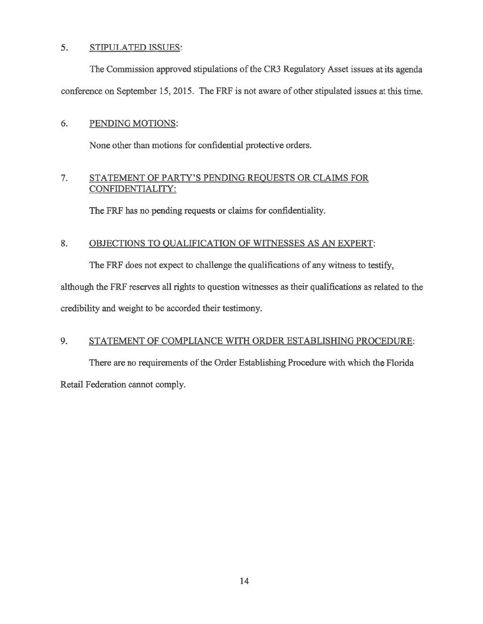## 5. STIPULATED ISSUES:

The Commission approved stipulations of the CR3 Regulatory Asset issues at its agenda conference on September 15, 2015. The FRF is not aware of other stipulated issues at this time.

# 6. PENDING MOTIONS:

None other than motions for confidential protective orders.

# 7. STATEMENT OF PARTY'S PENDING REQUESTS OR CLAIMS FOR CONFIDENTIALITY:

The FRF has no pending requests or claims for confidentiality.

# 8. OBJECTIONS TO QUALIFICATION OF WITNESSES AS AN EXPERT:

The FRF does not expect to challenge the qualifications of any witness to testify,

although the FRF reserves all rights to question witnesses as their qualifications as related to the credibility and weight to be accorded their testimony.

# 9. STATEMENT OF COMPLIANCE WITH ORDER ESTABLISHING PROCEDURE:

There are no requirements of the Order Establishing Procedure with which the Florida Retail Federation cannot comply.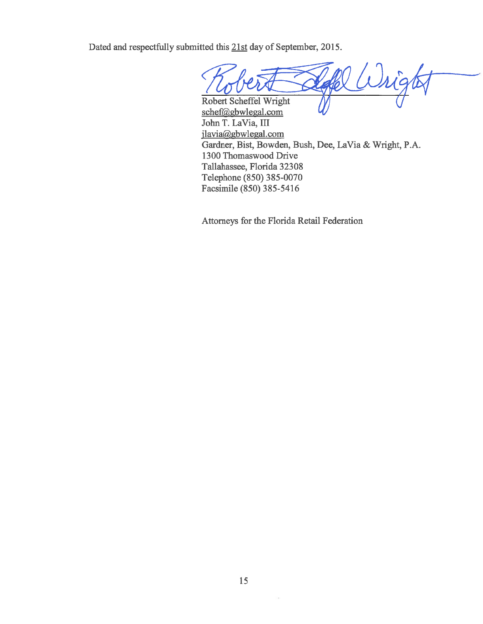Dated and respectfully submitted this 21st day of September, 2015.

Robert Scheffel Wright

schef@gbwlegal.com John T. LaVia, III jlavia@gbwlegal.com Gardner, Bist, Bowden, Bush, Dee, LaVia & Wright, P.A. 1300 Thomaswood Drive Tallahassee, Florida 32308 Telephone (850) 385-0070 Facsimile (850) 385-5416

Attorneys for the Florida Retail Federation